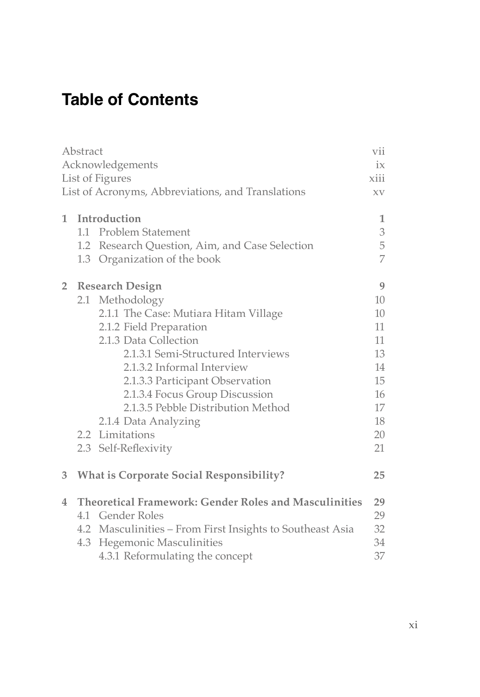## **Table of Contents**

| Abstract     |                                                   |                                                              | vii             |
|--------------|---------------------------------------------------|--------------------------------------------------------------|-----------------|
|              | Acknowledgements                                  |                                                              |                 |
|              | List of Figures                                   |                                                              |                 |
|              | List of Acronyms, Abbreviations, and Translations |                                                              |                 |
| $\mathbf{1}$ |                                                   | Introduction                                                 | 1               |
|              |                                                   | 1.1 Problem Statement                                        | 3               |
|              |                                                   | 1.2 Research Question, Aim, and Case Selection               | 5               |
|              |                                                   | 1.3 Organization of the book                                 | 7               |
| $2-1$        |                                                   | <b>Research Design</b>                                       | 9               |
|              |                                                   | 2.1 Methodology                                              | 10 <sup>2</sup> |
|              |                                                   | 2.1.1 The Case: Mutiara Hitam Village                        | 10              |
|              |                                                   | 2.1.2 Field Preparation                                      | 11              |
|              |                                                   | 2.1.3 Data Collection                                        | 11              |
|              |                                                   | 2.1.3.1 Semi-Structured Interviews                           | 13              |
|              |                                                   | 2.1.3.2 Informal Interview                                   | 14              |
|              |                                                   | 2.1.3.3 Participant Observation                              | 15              |
|              |                                                   | 2.1.3.4 Focus Group Discussion                               | 16              |
|              |                                                   | 2.1.3.5 Pebble Distribution Method                           | 17              |
|              |                                                   | 2.1.4 Data Analyzing                                         | 18              |
|              |                                                   | 2.2 Limitations                                              | 20              |
|              |                                                   | 2.3 Self-Reflexivity                                         | 21              |
| 3            |                                                   | <b>What is Corporate Social Responsibility?</b>              | 25              |
| 4            |                                                   | <b>Theoretical Framework: Gender Roles and Masculinities</b> | 29              |
|              |                                                   | 4.1 Gender Roles                                             | 29              |
|              |                                                   | 4.2 Masculinities – From First Insights to Southeast Asia    | 32              |
|              |                                                   | 4.3 Hegemonic Masculinities                                  | 34              |
|              |                                                   | 4.3.1 Reformulating the concept                              | 37              |